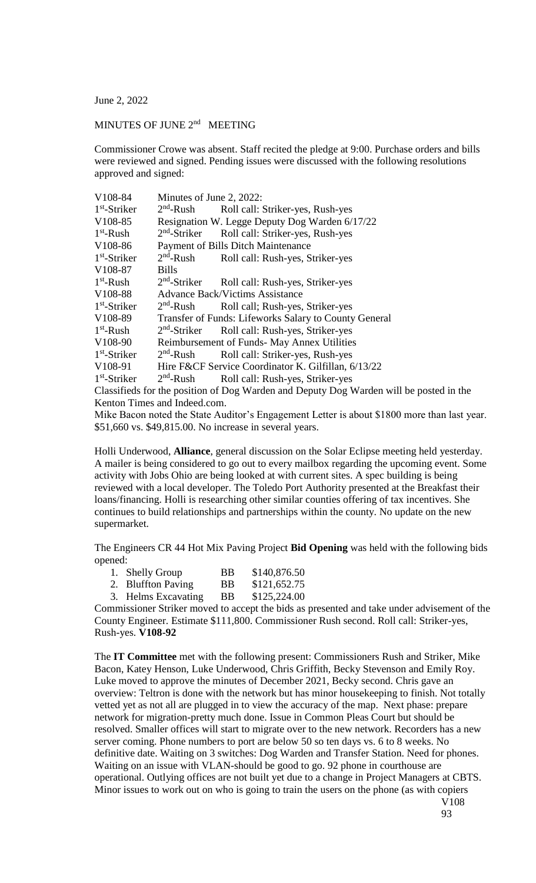June 2, 2022

## MINUTES OF JUNE 2<sup>nd</sup> MEETING

Commissioner Crowe was absent. Staff recited the pledge at 9:00. Purchase orders and bills were reviewed and signed. Pending issues were discussed with the following resolutions approved and signed:

| V108-84        | Minutes of June 2, 2022:                              |                                                                               |  |
|----------------|-------------------------------------------------------|-------------------------------------------------------------------------------|--|
| $1st$ -Striker |                                                       | $2nd$ -Rush Roll call: Striker-yes, Rush-yes                                  |  |
| V108-85        | Resignation W. Legge Deputy Dog Warden 6/17/22        |                                                                               |  |
| $1st$ -Rush    | $2nd$ -Striker                                        | Roll call: Striker-yes, Rush-yes                                              |  |
| V108-86        | <b>Payment of Bills Ditch Maintenance</b>             |                                                                               |  |
| $1st$ -Striker | $2nd$ -Rush                                           | Roll call: Rush-yes, Striker-yes                                              |  |
| V108-87        | <b>Bills</b>                                          |                                                                               |  |
| $1st$ -Rush    | $2nd$ -Striker                                        | Roll call: Rush-yes, Striker-yes                                              |  |
| V108-88        | <b>Advance Back/Victims Assistance</b>                |                                                                               |  |
| $1st$ -Striker | $2nd$ -Rush                                           | Roll call; Rush-yes, Striker-yes                                              |  |
| V108-89        | Transfer of Funds: Lifeworks Salary to County General |                                                                               |  |
| $1st$ -Rush    | $2nd$ -Striker                                        | Roll call: Rush-yes, Striker-yes                                              |  |
| V108-90        | Reimbursement of Funds- May Annex Utilities           |                                                                               |  |
| $1st$ -Striker | $2nd$ -Rush                                           | Roll call: Striker-yes, Rush-yes                                              |  |
| V108-91        |                                                       | Hire F&CF Service Coordinator K. Gilfillan, 6/13/22                           |  |
| $1st$ -Striker | $2nd$ -Rush                                           | Roll call: Rush-yes, Striker-yes                                              |  |
|                |                                                       | Classifieds for the position of Dog Warden and Deputy Dog Warden will be post |  |

Classifieds for the position of Dog Warden and Deputy Dog Warden will be posted in the Kenton Times and Indeed.com.

Mike Bacon noted the State Auditor's Engagement Letter is about \$1800 more than last year. \$51,660 vs. \$49,815.00. No increase in several years.

Holli Underwood, **Alliance**, general discussion on the Solar Eclipse meeting held yesterday. A mailer is being considered to go out to every mailbox regarding the upcoming event. Some activity with Jobs Ohio are being looked at with current sites. A spec building is being reviewed with a local developer. The Toledo Port Authority presented at the Breakfast their loans/financing. Holli is researching other similar counties offering of tax incentives. She continues to build relationships and partnerships within the county. No update on the new supermarket.

The Engineers CR 44 Hot Mix Paving Project **Bid Opening** was held with the following bids opened:

| 1. Shelly Group | BB | \$140,876.50 |
|-----------------|----|--------------|
|                 |    |              |

- 2. Bluffton Paving BB \$121,652.75
- 3. Helms Excavating BB \$125,224.00

Commissioner Striker moved to accept the bids as presented and take under advisement of the County Engineer. Estimate \$111,800. Commissioner Rush second. Roll call: Striker-yes, Rush-yes. **V108-92**

The **IT Committee** met with the following present: Commissioners Rush and Striker, Mike Bacon, Katey Henson, Luke Underwood, Chris Griffith, Becky Stevenson and Emily Roy. Luke moved to approve the minutes of December 2021, Becky second. Chris gave an overview: Teltron is done with the network but has minor housekeeping to finish. Not totally vetted yet as not all are plugged in to view the accuracy of the map. Next phase: prepare network for migration-pretty much done. Issue in Common Pleas Court but should be resolved. Smaller offices will start to migrate over to the new network. Recorders has a new server coming. Phone numbers to port are below 50 so ten days vs. 6 to 8 weeks. No definitive date. Waiting on 3 switches: Dog Warden and Transfer Station. Need for phones. Waiting on an issue with VLAN-should be good to go. 92 phone in courthouse are operational. Outlying offices are not built yet due to a change in Project Managers at CBTS. Minor issues to work out on who is going to train the users on the phone (as with copiers

V108